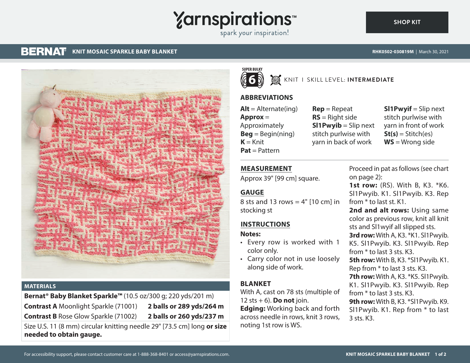# **Yarnspirations**

spark your inspiration!

#### **BERNAT KNIT MOSAIC SPARKLE BABY BLANKET RHK0502-030819M** | March 30, 2021

**[SHOP KIT](https://www.yarnspirations.com/RHK0502-030819M.html#utm_source=pdf-yarnspirations&utm_medium=referral)**



#### **MATERIALS**

**Bernat® Baby Blanket Sparkle™** (10.5 oz/300 g; 220 yds/201 m) **Contrast A** Moonlight Sparkle (71001) **2 balls or 289 yds/264 m Contrast B** Rose Glow Sparkle (71002) **2 balls or 260 yds/237 m**

Size U.S. 11 (8 mm) circular knitting needle 29" [73.5 cm] long **or size needed to obtain gauge.**



## **W** KNIT I SKILL LEVEL: **INTERMEDIATE**

### **ABBREVIATIONS**

 $Alt =$  Alternate(ing) **Approx** = Approximately  $\text{Beg} = \text{Begin}(\text{ning})$  $K = Knit$ **Pat** = Pattern

**Rep** = Repeat **RS** = Right side **Sl1Pwyib** = Slip next stitch purlwise with yarn in back of work

**Sl1Pwyif** = Slip next stitch purlwise with yarn in front of work  $St(s) = Stitch(es)$ **WS** = Wrong side

#### **MEASUREMENT**

Approx 39" [99 cm] square.

### **GAUGE**

8 sts and 13 rows =  $4"$  [10 cm] in stocking st

#### **INSTRUCTIONS**

**Notes:**

- Every row is worked with 1 color only.
- Carry color not in use loosely along side of work.

#### **BLANKET**

With A, cast on 78 sts (multiple of 12 sts  $+ 6$ ). **Do not** join. **Edging:** Working back and forth across needle in rows, knit 3 rows, noting 1st row is WS.

Proceed in pat as follows [\(see chart](#page-1-0) [on page 2](#page-1-0)):

**1st row:** (RS). With B, K3. \*K6. Sl1Pwyib. K1. Sl1Pwyib. K3. Rep from \* to last st. K1.

**2nd and alt rows:** Using same color as previous row, knit all knit sts and Sl1wyif all slipped sts. **3rd row:** With A, K3. \*K1. Sl1Pwyib. K5. Sl1Pwyib. K3. Sl1Pwyib. Rep from \* to last 3 sts. K3. **5th row:** With B, K3. \*Sl1Pwyib. K1. Rep from \* to last 3 sts. K3. **7th row:** With A, K3. \*K5. Sl1Pwyib. K1. Sl1Pwyib. K3. Sl1Pwyib. Rep from \* to last 3 sts. K3. **9th row:** With B, K3. \*Sl1Pwyib. K9. Sl1Pwyib. K1. Rep from \* to last 3 sts. K3.